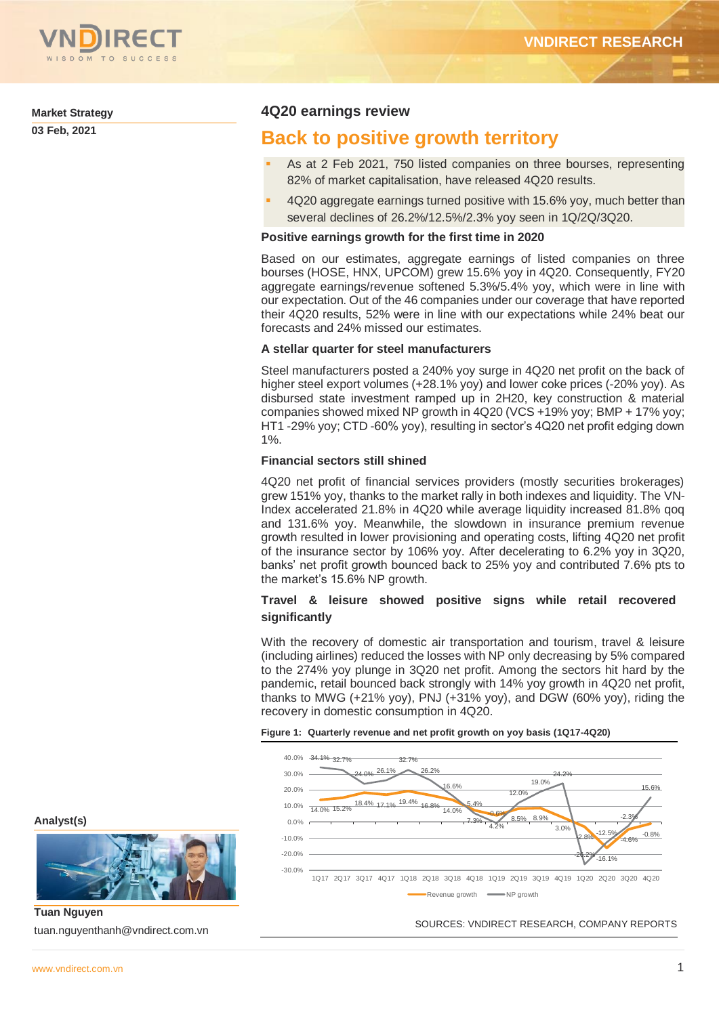

#### **Market Strategy**

**03 Feb, 2021** 

## **4Q20 earnings review**

## **Back to positive growth territory**

- As at 2 Feb 2021, 750 listed companies on three bourses, representing 82% of market capitalisation, have released 4Q20 results.
- 4Q20 aggregate earnings turned positive with 15.6% yoy, much better than several declines of 26.2%/12.5%/2.3% yoy seen in 1Q/2Q/3Q20.

## **Positive earnings growth for the first time in 2020**

Based on our estimates, aggregate earnings of listed companies on three bourses (HOSE, HNX, UPCOM) grew 15.6% yoy in 4Q20. Consequently, FY20 aggregate earnings/revenue softened 5.3%/5.4% yoy, which were in line with our expectation. Out of the 46 companies under our coverage that have reported their 4Q20 results, 52% were in line with our expectations while 24% beat our forecasts and 24% missed our estimates.

## **A stellar quarter for steel manufacturers**

Steel manufacturers posted a 240% yoy surge in 4Q20 net profit on the back of higher steel export volumes (+28.1% yoy) and lower coke prices (-20% yoy). As disbursed state investment ramped up in 2H20, key construction & material companies showed mixed NP growth in 4Q20 (VCS +19% yoy; BMP + 17% yoy; HT1 -29% yoy; CTD -60% yoy), resulting in sector's 4Q20 net profit edging down 1%.

## **Financial sectors still shined**

4Q20 net profit of financial services providers (mostly securities brokerages) grew 151% yoy, thanks to the market rally in both indexes and liquidity. The VN-Index accelerated 21.8% in 4Q20 while average liquidity increased 81.8% qoq and 131.6% yoy. Meanwhile, the slowdown in insurance premium revenue growth resulted in lower provisioning and operating costs, lifting 4Q20 net profit of the insurance sector by 106% yoy. After decelerating to 6.2% yoy in 3Q20, banks' net profit growth bounced back to 25% yoy and contributed 7.6% pts to the market's 15.6% NP growth.

## **Travel & leisure showed positive signs while retail recovered significantly**

With the recovery of domestic air transportation and tourism, travel & leisure (including airlines) reduced the losses with NP only decreasing by 5% compared to the 274% yoy plunge in 3Q20 net profit. Among the sectors hit hard by the pandemic, retail bounced back strongly with 14% yoy growth in 4Q20 net profit, thanks to MWG (+21% yoy), PNJ (+31% yoy), and DGW (60% yoy), riding the recovery in domestic consumption in 4Q20.

#### **Figure 1: Quarterly revenue and net profit growth on yoy basis (1Q17-4Q20)**



## **Analyst(s)**



**Tuan Nguyen** tuan.nguyenthanh@vndirect.com.vn

SOURCES: VNDIRECT RESEARCH, COMPANY REPORTS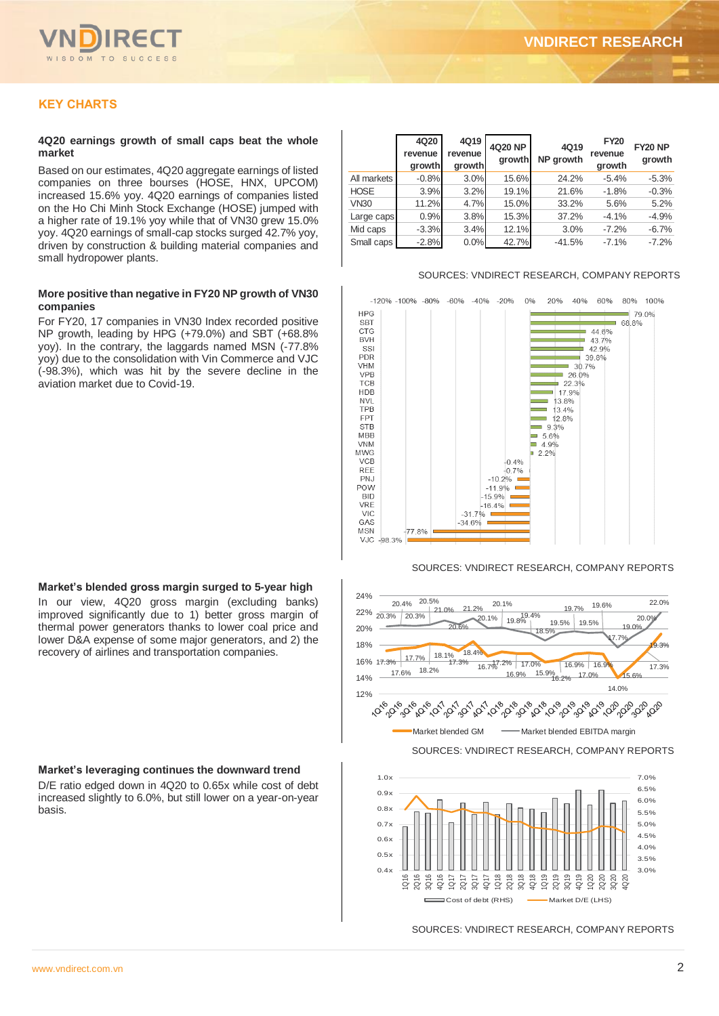

## **KEY CHARTS**

#### **4Q20 earnings growth of small caps beat the whole market**

Based on our estimates, 4Q20 aggregate earnings of listed companies on three bourses (HOSE, HNX, UPCOM) increased 15.6% yoy. 4Q20 earnings of companies listed on the Ho Chi Minh Stock Exchange (HOSE) jumped with a higher rate of 19.1% yoy while that of VN30 grew 15.0% yoy. 4Q20 earnings of small-cap stocks surged 42.7% yoy, driven by construction & building material companies and small hydropower plants.

#### **More positive than negative in FY20 NP growth of VN30 companies**

For FY20, 17 companies in VN30 Index recorded positive NP growth, leading by HPG (+79.0%) and SBT (+68.8% yoy). In the contrary, the laggards named MSN (-77.8% yoy) due to the consolidation with Vin Commerce and VJC (-98.3%), which was hit by the severe decline in the aviation market due to Covid-19.

#### **Market's blended gross margin surged to 5-year high**

In our view, 4Q20 gross margin (excluding banks) improved significantly due to 1) better gross margin of thermal power generators thanks to lower coal price and lower D&A expense of some major generators, and 2) the recovery of airlines and transportation companies.

#### **Market's leveraging continues the downward trend**

D/E ratio edged down in 4Q20 to 0.65x while cost of debt increased slightly to 6.0%, but still lower on a year-on-year basis.

|             | 4Q20<br>revenue<br>growth | 4Q19<br>revenue<br>growth | <b>4Q20 NP</b><br>growth | 4Q19<br><b>NP</b> arowth | <b>FY20</b><br>revenue<br>growth | <b>FY20 NP</b><br>growth |
|-------------|---------------------------|---------------------------|--------------------------|--------------------------|----------------------------------|--------------------------|
| All markets | $-0.8%$                   | 3.0%                      | 15.6%                    | 24.2%                    | $-5.4%$                          | $-5.3%$                  |
| <b>HOSE</b> | 3.9%                      | 3.2%                      | 19.1%                    | 21.6%                    | $-1.8%$                          | $-0.3%$                  |
| <b>VN30</b> | 11.2%                     | 4.7%                      | 15.0%                    | 33.2%                    | 5.6%                             | 5.2%                     |
| Large caps  | 0.9%                      | 3.8%                      | 15.3%                    | 37.2%                    | $-4.1%$                          | $-4.9%$                  |
| Mid caps    | $-3.3%$                   | 3.4%                      | 12.1%                    | 3.0%                     | $-7.2%$                          | $-6.7%$                  |
| Small caps  | $-2.8%$                   | 0.0%                      | 42.7%                    | $-41.5%$                 | $-7.1%$                          | $-7.2%$                  |

#### SOURCES: VNDIRECT RESEARCH, COMPANY REPORTS



#### SOURCES: VNDIRECT RESEARCH, COMPANY REPORTS



SOURCES: VNDIRECT RESEARCH, COMPANY REPORTS

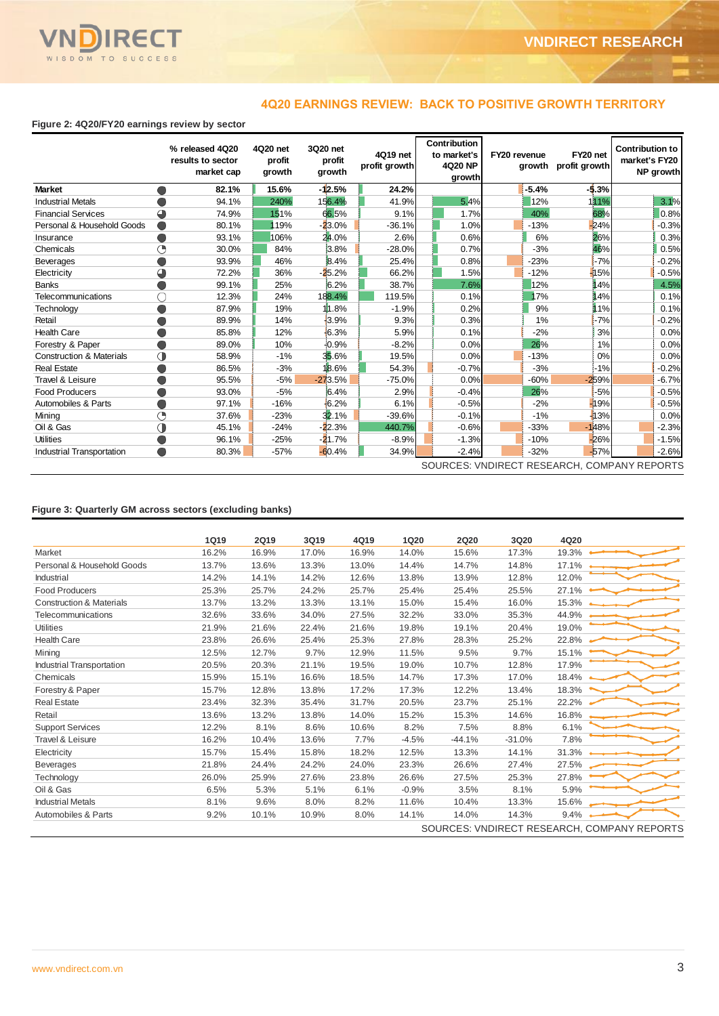

## **4Q20 EARNINGS REVIEW: BACK TO POSITIVE GROWTH TERRITORY**

## **Figure 2: 4Q20/FY20 earnings review by sector**

|                                             |            | % released 4Q20<br>results to sector<br>market cap | 4Q20 net<br>profit<br>growth | 3Q20 net<br>profit<br>growth | 4Q19 net<br>profit growth |          |  | Contribution<br>to market's<br>4Q20 NP<br>growth | FY20 revenue |         | FY20 net<br>growth profit growth | <b>Contribution to</b><br>market's FY20<br>NP growth |  |
|---------------------------------------------|------------|----------------------------------------------------|------------------------------|------------------------------|---------------------------|----------|--|--------------------------------------------------|--------------|---------|----------------------------------|------------------------------------------------------|--|
| <b>Market</b>                               |            | 82.1%                                              | 15.6%                        | $-12.5%$                     |                           | 24.2%    |  |                                                  |              | $-5.4%$ | $-5.3%$                          |                                                      |  |
| <b>Industrial Metals</b>                    |            | 94.1%                                              | 240%                         | 156.4%                       |                           | 41.9%    |  | 5.4%                                             |              | 12%     | 111 <sup>%</sup>                 | 3.1%                                                 |  |
| <b>Financial Services</b>                   |            | 74.9%                                              | 151%                         | 66.5%                        |                           | 9.1%     |  | 1.7%                                             |              | 40%     | 68%                              | 0.8%                                                 |  |
| Personal & Household Goods                  |            | 80.1%                                              | 119%                         | $-23.0%$                     |                           | $-36.1%$ |  | 1.0%                                             |              | $-13%$  | 24%                              | $-0.3%$                                              |  |
| Insurance                                   |            | 93.1%                                              | 106%                         | 24.0%                        |                           | 2.6%     |  | 0.6%                                             |              | 6%      | 26%                              | 0.3%                                                 |  |
| Chemicals                                   | ∩          | 30.0%                                              | 84%                          | 3.8%                         |                           | $-28.0%$ |  | 0.7%                                             |              | $-3%$   | 46%                              | 0.5%                                                 |  |
| <b>Beverages</b>                            |            | 93.9%                                              | 46%                          | 8.4%                         |                           | 25.4%    |  | 0.8%                                             |              | $-23%$  | $-7%$                            | $-0.2%$                                              |  |
| Electricity                                 | ◕          | 72.2%                                              | 36%                          | $-25.2%$                     |                           | 66.2%    |  | 1.5%                                             |              | $-12%$  | 15%                              | $-0.5%$                                              |  |
| <b>Banks</b>                                |            | 99.1%                                              | 25%                          | 6.2%                         |                           | 38.7%    |  | 7.6%                                             |              | 12%     | 14%                              | 4.5%                                                 |  |
| <b>Telecommunications</b>                   |            | 12.3%                                              | 24%                          | 188.4%                       |                           | 119.5%   |  | 0.1%                                             |              | 17%     | 14%                              | 0.1%                                                 |  |
| Technology                                  |            | 87.9%                                              | 19%                          | .8%<br>m                     |                           | $-1.9%$  |  | 0.2%                                             |              | 9%      | 11%                              | 0.1%                                                 |  |
| Retail                                      |            | 89.9%                                              | 14%                          | 3.9%                         |                           | 9.3%     |  | 0.3%                                             |              | 1%      | $-7%$                            | $-0.2%$                                              |  |
| <b>Health Care</b>                          |            | 85.8%                                              | 12%                          | 46.3%                        |                           | 5.9%     |  | 0.1%                                             |              | $-2%$   | 3%                               | 0.0%                                                 |  |
| Forestry & Paper                            |            | 89.0%                                              | 10%                          | 10.9%                        |                           | $-8.2%$  |  | 0.0%                                             |              | 26%     | 1%                               | 0.0%                                                 |  |
| <b>Construction &amp; Materials</b>         | $\bigcirc$ | 58.9%                                              | $-1%$                        | 35.6%                        |                           | 19.5%    |  | 0.0%                                             |              | $-13%$  | 0%                               | 0.0%                                                 |  |
| <b>Real Estate</b>                          |            | 86.5%                                              | $-3%$                        | 18.6%                        |                           | 54.3%    |  | $-0.7%$                                          |              | $-3%$   | $-1%$                            | $-0.2%$                                              |  |
| Travel & Leisure                            |            | 95.5%                                              | $-5%$                        | $-273.5%$                    |                           | $-75.0%$ |  | 0.0%                                             |              | $-60%$  | $-259%$                          | $-6.7%$                                              |  |
| <b>Food Producers</b>                       |            | 93.0%                                              | $-5%$                        | 6.4%                         |                           | 2.9%     |  | $-0.4%$                                          |              | 26%     | $-5%$                            | $-0.5%$                                              |  |
| Automobiles & Parts                         |            | 97.1%                                              | $-16%$                       | 16.2%                        |                           | 6.1%     |  | $-0.5%$                                          |              | $-2%$   | 19%                              | $-0.5%$                                              |  |
| Mining                                      | ∩          | 37.6%                                              | $-23%$                       | 32.1%                        |                           | $-39.6%$ |  | $-0.1%$                                          |              | $-1%$   | 13%                              | 0.0%                                                 |  |
| Oil & Gas                                   | ◑          | 45.1%                                              | $-24%$                       | $-22.3%$                     |                           | 440.7%   |  | $-0.6%$                                          |              | $-33%$  | 148%                             | $-2.3%$                                              |  |
| <b>Utilities</b>                            |            | 96.1%                                              | $-25%$                       | $-21.7%$                     |                           | $-8.9%$  |  | $-1.3%$                                          |              | $-10%$  | 26%                              | $-1.5%$                                              |  |
| Industrial Transportation                   |            | 80.3%                                              | $-57%$                       | $-60.4%$                     |                           | 34.9%    |  | $-2.4%$                                          |              | $-32%$  | $-57%$                           | $-2.6%$                                              |  |
| SOURCES: VNDIRECT RESEARCH, COMPANY REPORTS |            |                                                    |                              |                              |                           |          |  |                                                  |              |         |                                  |                                                      |  |

## **Figure 3: Quarterly GM across sectors (excluding banks)**

|                                     | <b>1Q19</b> | 2Q19  | 3Q19  | 4Q19  | <b>1Q20</b> | <b>2Q20</b> | 3Q20     | 4Q20                                        |
|-------------------------------------|-------------|-------|-------|-------|-------------|-------------|----------|---------------------------------------------|
| Market                              | 16.2%       | 16.9% | 17.0% | 16.9% | 14.0%       | 15.6%       | 17.3%    | 19.3%                                       |
| Personal & Household Goods          | 13.7%       | 13.6% | 13.3% | 13.0% | 14.4%       | 14.7%       | 14.8%    | 17.1%                                       |
| Industrial                          | 14.2%       | 14.1% | 14.2% | 12.6% | 13.8%       | 13.9%       | 12.8%    | 12.0%                                       |
| <b>Food Producers</b>               | 25.3%       | 25.7% | 24.2% | 25.7% | 25.4%       | 25.4%       | 25.5%    | 27.1%                                       |
| <b>Construction &amp; Materials</b> | 13.7%       | 13.2% | 13.3% | 13.1% | 15.0%       | 15.4%       | 16.0%    | 15.3%                                       |
| Telecommunications                  | 32.6%       | 33.6% | 34.0% | 27.5% | 32.2%       | 33.0%       | 35.3%    | 44.9%                                       |
| <b>Utilities</b>                    | 21.9%       | 21.6% | 22.4% | 21.6% | 19.8%       | 19.1%       | 20.4%    | 19.0%                                       |
| <b>Health Care</b>                  | 23.8%       | 26.6% | 25.4% | 25.3% | 27.8%       | 28.3%       | 25.2%    | 22.8%                                       |
| Mining                              | 12.5%       | 12.7% | 9.7%  | 12.9% | 11.5%       | 9.5%        | 9.7%     | 15.1%                                       |
| <b>Industrial Transportation</b>    | 20.5%       | 20.3% | 21.1% | 19.5% | 19.0%       | 10.7%       | 12.8%    | 17.9%                                       |
| Chemicals                           | 15.9%       | 15.1% | 16.6% | 18.5% | 14.7%       | 17.3%       | 17.0%    | 18.4%                                       |
| Forestry & Paper                    | 15.7%       | 12.8% | 13.8% | 17.2% | 17.3%       | 12.2%       | 13.4%    | 18.3%                                       |
| <b>Real Estate</b>                  | 23.4%       | 32.3% | 35.4% | 31.7% | 20.5%       | 23.7%       | 25.1%    | 22.2%                                       |
| Retail                              | 13.6%       | 13.2% | 13.8% | 14.0% | 15.2%       | 15.3%       | 14.6%    | 16.8%                                       |
| <b>Support Services</b>             | 12.2%       | 8.1%  | 8.6%  | 10.6% | 8.2%        | 7.5%        | 8.8%     | 6.1%                                        |
| Travel & Leisure                    | 16.2%       | 10.4% | 13.6% | 7.7%  | $-4.5%$     | $-44.1%$    | $-31.0%$ | 7.8%                                        |
| Electricity                         | 15.7%       | 15.4% | 15.8% | 18.2% | 12.5%       | 13.3%       | 14.1%    | 31.3%                                       |
| <b>Beverages</b>                    | 21.8%       | 24.4% | 24.2% | 24.0% | 23.3%       | 26.6%       | 27.4%    | 27.5%                                       |
| Technology                          | 26.0%       | 25.9% | 27.6% | 23.8% | 26.6%       | 27.5%       | 25.3%    | 27.8%                                       |
| Oil & Gas                           | 6.5%        | 5.3%  | 5.1%  | 6.1%  | $-0.9%$     | 3.5%        | 8.1%     | 5.9%                                        |
| <b>Industrial Metals</b>            | 8.1%        | 9.6%  | 8.0%  | 8.2%  | 11.6%       | 10.4%       | 13.3%    | 15.6%                                       |
| Automobiles & Parts                 | 9.2%        | 10.1% | 10.9% | 8.0%  | 14.1%       | 14.0%       | 14.3%    | 9.4%                                        |
|                                     |             |       |       |       |             |             |          | SOURCES: VNDIRECT RESEARCH, COMPANY REPORTS |
|                                     |             |       |       |       |             |             |          |                                             |